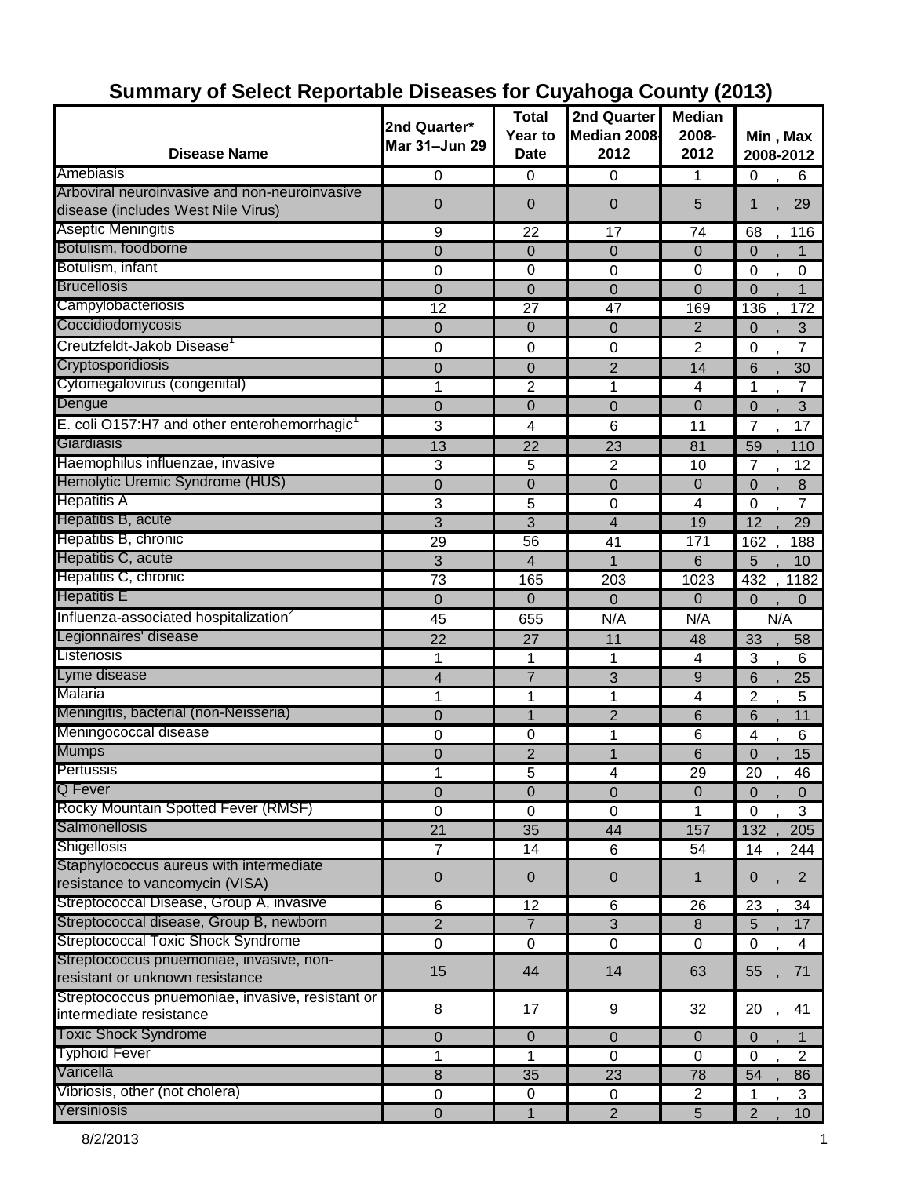| <b>Disease Name</b>                                      | 2nd Quarter*<br>Mar 31-Jun 29 | <b>Total</b><br>Year to<br>Date | 2nd Quarter<br>Median 2008<br>2012 | <b>Median</b><br>2008-<br>2012 | Min, Max<br>2008-2012         |
|----------------------------------------------------------|-------------------------------|---------------------------------|------------------------------------|--------------------------------|-------------------------------|
| Amebiasis                                                |                               |                                 |                                    |                                |                               |
| Arboviral neuroinvasive and non-neuroinvasive            | $\pmb{0}$                     | $\mathbf 0$                     | 0                                  | 1                              | 6<br>0                        |
| disease (includes West Nile Virus)                       | 0                             | 0                               | 0                                  | 5                              | 29<br>1                       |
| Aseptic Meningitis                                       | 9                             | 22                              | 17                                 | 74                             | 68<br>116                     |
| Botulism, foodborne                                      | $\mathbf 0$                   | $\overline{0}$                  | $\overline{0}$                     | $\Omega$                       | $\Omega$<br>1                 |
| Botulism, infant                                         | 0                             | 0                               | 0                                  | 0                              | 0<br>$\mathbf 0$              |
| <b>Brucellosis</b>                                       | $\overline{0}$                | 0                               | $\mathbf 0$                        | $\overline{0}$                 | $\overline{0}$<br>1           |
| Campylobacteriosis                                       | 12                            | 27                              | 47                                 | 169                            | 136<br>172                    |
| Coccidiodomycosis                                        | $\overline{0}$                | 0                               | 0                                  | 2                              | 3<br>0                        |
| Creutzfeldt-Jakob Disease <sup>1</sup>                   | 0                             | 0                               | 0                                  | 2                              | $\overline{7}$<br>0           |
| Cryptosporidiosis                                        | 0                             | 0                               | $\overline{2}$                     | 14                             | 6<br>30                       |
| Cytomegalovirus (congenital)                             | 1                             | $\overline{2}$                  | 1                                  | 4                              | $\overline{7}$<br>1           |
| Dengue                                                   | $\mathbf 0$                   | $\mathbf 0$                     | 0                                  | $\mathbf 0$                    | 3<br>0                        |
| E. coli O157:H7 and other enterohemorrhagic <sup>1</sup> | 3                             | 4                               | 6                                  | 11                             | 17<br>7                       |
| Giardiasis                                               | 13                            | 22                              | 23                                 | 81                             | 59<br>110                     |
| Haemophilus influenzae, invasive                         | 3                             | 5                               | 2                                  | 10                             | 7<br>12                       |
| Hemolytic Uremic Syndrome (HUS)                          | $\mathbf 0$                   | 0                               | 0                                  | $\mathbf 0$                    | $\overline{0}$<br>8           |
| <b>Hepatitis A</b>                                       | 3                             | 5                               | 0                                  | 4                              | $\overline{0}$<br>7           |
| Hepatitis B, acute                                       | $\overline{3}$                | 3                               | $\overline{4}$                     | 19                             | 12<br>29                      |
| Hepatitis B, chronic                                     | 29                            | 56                              | 41                                 | 171                            | 162<br>188                    |
| Hepatitis C, acute                                       | 3                             | 4                               | $\mathbf 1$                        | 6                              | 10<br>5                       |
| Hepatitis C, chronic                                     | 73                            | 165                             | 203                                | 1023                           | 432<br>1182                   |
| <b>Hepatitis E</b>                                       | $\overline{0}$                | 0                               | 0                                  | $\overline{0}$                 | $\overline{0}$<br>$\Omega$    |
| Influenza-associated hospitalization <sup>2</sup>        | 45                            | 655                             | N/A                                | N/A                            | N/A                           |
| Legionnaires' disease                                    | 22                            | 27                              | 11                                 | 48                             | 33<br>58                      |
| Listeriosis                                              | 1                             | 1                               | 1                                  | 4                              | 3<br>6                        |
| Lyme disease                                             | 4                             | $\overline{7}$                  | 3                                  | 9                              | 6<br>25                       |
| Malaria                                                  | 1                             | 1                               | 1                                  | 4                              | $\overline{c}$<br>5           |
| Meningitis, bacterial (non-Neisseria)                    | $\mathbf 0$                   | $\mathbf{1}$                    | $\overline{2}$                     | 6                              | 6<br>11                       |
| Meningococcal disease                                    | 0                             | 0                               | 1                                  | 6                              | 4<br>6                        |
| <b>Mumps</b>                                             | $\mathbf 0$                   | $\overline{c}$                  | 1                                  | 6                              | 0<br>15                       |
| Pertussis                                                | 1                             | 5                               | 4                                  | 29                             | 20<br>46                      |
| Q Fever                                                  | 0                             | $\pmb{0}$                       | $\pmb{0}$                          | 0                              | 0<br>$\mathbf 0$              |
| Rocky Mountain Spotted Fever (RMSF)                      | $\mathbf 0$                   | $\mathbf 0$                     | $\mathbf 0$                        | 1                              | 3<br>$\Omega$                 |
| Salmonellosis                                            | $\overline{21}$               | 35                              | 44                                 | 157                            | 132<br>205                    |
| Shigellosis                                              | $\overline{7}$                | 14                              | 6                                  | 54                             | 14<br>244                     |
| Staphylococcus aureus with intermediate                  |                               |                                 |                                    |                                |                               |
| resistance to vancomycin (VISA)                          | $\pmb{0}$                     | $\pmb{0}$                       | $\pmb{0}$                          | $\mathbf{1}$                   | $\overline{2}$<br>0           |
| Streptococcal Disease, Group A, invasive                 | 6                             | 12                              | 6                                  | 26                             | 23<br>34                      |
| Streptococcal disease, Group B, newborn                  | $\overline{2}$                | $\overline{7}$                  | $\sqrt{3}$                         | 8                              | 5<br>17                       |
| <b>Streptococcal Toxic Shock Syndrome</b>                | 0                             | 0                               | $\pmb{0}$                          | 0                              | 0<br>4                        |
| Streptococcus pnuemoniae, invasive, non-                 | 15                            | 44                              | 14                                 | 63                             | 55                            |
| resistant or unknown resistance                          |                               |                                 |                                    |                                | 71                            |
| Streptococcus pnuemoniae, invasive, resistant or         | 8                             | 17                              | 9                                  | 32                             | 20<br>41                      |
| intermediate resistance                                  |                               |                                 |                                    |                                |                               |
| <b>Toxic Shock Syndrome</b>                              | 0                             | $\pmb{0}$                       | $\mathbf{0}$                       | $\Omega$                       | $\Omega$                      |
| <b>Typhoid Fever</b>                                     | 1                             | $\mathbf{1}$                    | $\mathbf 0$                        | $\mathbf 0$                    | $\overline{2}$<br>$\mathbf 0$ |
| Varicella                                                | $\bf 8$                       | 35                              | 23                                 | 78                             | 54<br>86                      |
| Vibriosis, other (not cholera)                           | $\pmb{0}$                     | 0                               | 0                                  | $\overline{c}$                 | 3<br>1                        |
| Yersiniosis                                              | 0                             | $\mathbf{1}$                    | $\overline{2}$                     | 5                              | $\overline{2}$<br>10          |

# **Summary of Select Reportable Diseases for Cuyahoga County (2013)**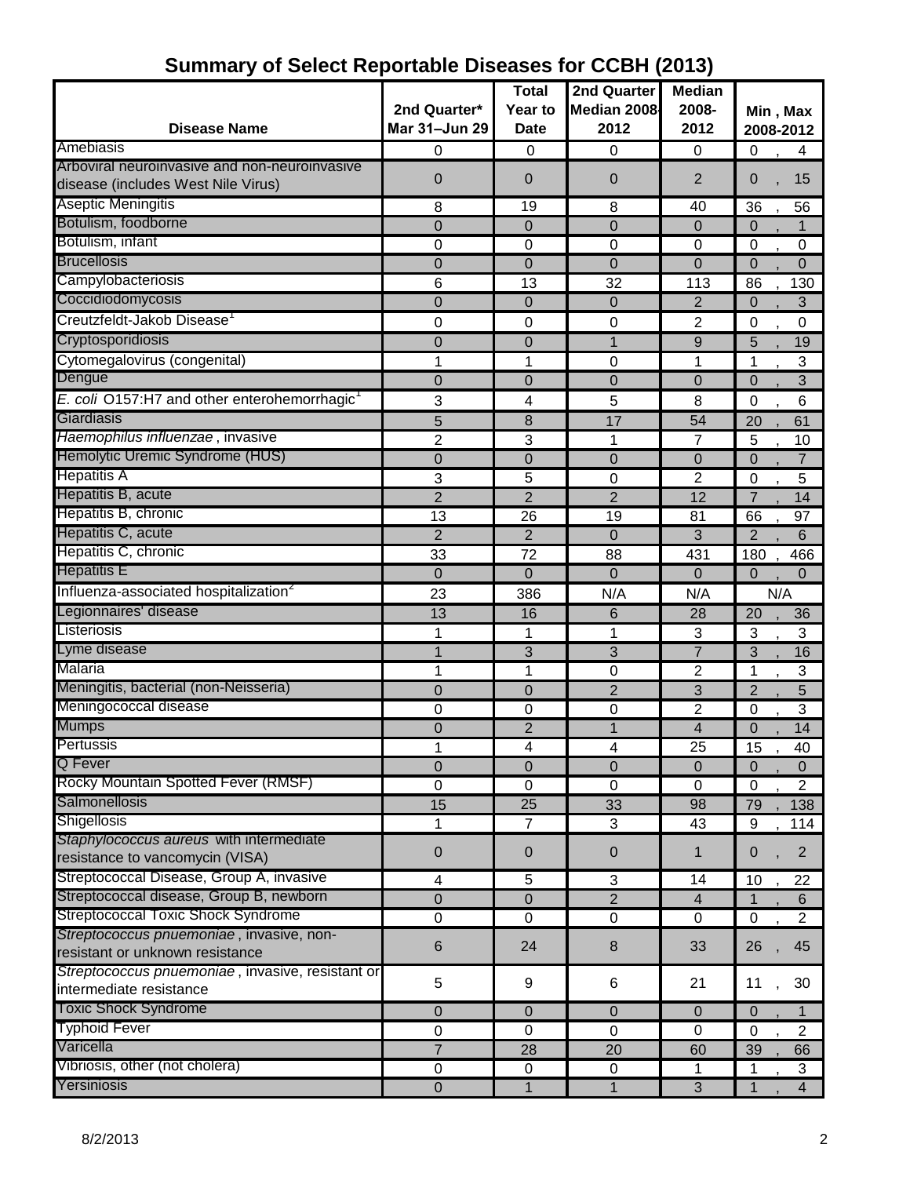|                                                            |                               | <b>Total</b>   | 2nd Quarter               | <b>Median</b>   |                               |
|------------------------------------------------------------|-------------------------------|----------------|---------------------------|-----------------|-------------------------------|
|                                                            | 2nd Quarter*<br>Mar 31-Jun 29 | Year to        | Median 2008<br>2012       | 2008-           | Min, Max                      |
| <b>Disease Name</b>                                        |                               | <b>Date</b>    |                           | 2012            | 2008-2012                     |
| Amebiasis<br>Arboviral neuroinvasive and non-neuroinvasive | 0                             | 0              | 0                         | 0               | $\mathbf 0$<br>4              |
| disease (includes West Nile Virus)                         | 0                             | 0              | 0                         | $\overline{2}$  | 0<br>15                       |
| <b>Aseptic Meningitis</b>                                  |                               |                |                           |                 |                               |
| Botulism, foodborne                                        | 8                             | 19             | 8                         | 40              | 36<br>56                      |
|                                                            | $\mathbf 0$                   | 0              | $\overline{0}$            | 0               | $\Omega$<br>1                 |
| Botulism, infant<br><b>Brucellosis</b>                     | 0                             | 0              | $\mathbf 0$               | 0               | 0<br>$\mathbf 0$              |
|                                                            | 0                             | 0              | $\overline{0}$            | $\overline{0}$  | $\Omega$<br>0                 |
| Campylobacteriosis                                         | 6                             | 13             | 32                        | 113             | 86<br>130                     |
| Coccidiodomycosis                                          | $\Omega$                      | 0              | $\overline{0}$            | $\overline{2}$  | 3<br>$\overline{0}$           |
| Creutzfeldt-Jakob Disease                                  | 0                             | 0              | 0                         | 2               | 0<br>0                        |
| Cryptosporidiosis                                          | 0                             | 0              | 1                         | 9               | 5<br>19                       |
| Cytomegalovirus (congenital)                               | 1                             | 1              | $\mathbf 0$               | 1               | 3<br>1                        |
| Dengue                                                     | 0                             | 0              | 0                         | $\overline{0}$  | 3<br>0                        |
| E. coli O157:H7 and other enterohemorrhagic <sup>1</sup>   | 3                             | 4              | 5                         | 8               | 0<br>6                        |
| Giardiasis                                                 | 5                             | 8              | 17                        | 54              | 20<br>61                      |
| Haemophilus influenzae, invasive                           | 2                             | 3              | 1                         | 7               | 5<br>10                       |
| Hemolytic Uremic Syndrome (HUS)                            | $\mathbf 0$                   | 0              | $\overline{0}$            | $\overline{0}$  | $\overline{7}$<br>$\Omega$    |
| <b>Hepatitis A</b>                                         | 3                             | 5              | $\mathbf 0$               | $\overline{2}$  | 5<br>0                        |
| Hepatitis B, acute                                         | $\overline{2}$                | $\overline{2}$ | $\overline{2}$            | 12              | 7<br>14                       |
| Hepatitis B, chronic                                       | 13                            | 26             | 19                        | 81              | 66<br>97                      |
| Hepatitis C, acute                                         | $\overline{2}$                | $\overline{2}$ | $\mathbf 0$               | 3               | $\overline{2}$<br>6           |
| Hepatitis C, chronic                                       | $\overline{33}$               | 72             | 88                        | 431             | 180<br>466                    |
| <b>Hepatitis E</b>                                         | $\mathbf 0$                   | 0              | $\overline{0}$            | $\overline{0}$  | $\overline{0}$<br>0           |
| Influenza-associated hospitalization <sup>2</sup>          | 23                            | 386            | N/A                       | N/A             | N/A                           |
| Legionnaires' disease                                      | 13                            | 16             | 6                         | 28              | 20<br>36                      |
| Listeriosis                                                | 1                             | 1              | 1                         | 3               | $\overline{3}$<br>3           |
| Lyme disease                                               | 1                             | 3              | 3                         | $\overline{7}$  | 3<br>16                       |
| Malaria                                                    | 1                             | 1              | 0                         | $\overline{2}$  | 1<br>3                        |
| Meningitis, bacterial (non-Neisseria)                      | 0                             | 0              | $\overline{2}$            | 3               | $\overline{2}$<br>5           |
| Meningococcal disease                                      | 0                             | 0              | 0                         | $\overline{2}$  | 3<br>0                        |
| <b>Mumps</b>                                               | 0                             | $\overline{2}$ | 1                         | 4               | 14<br>0                       |
| Pertussis                                                  | 1                             | 4              | 4                         | $\overline{25}$ | 15<br>40                      |
| Q Fever                                                    | $\overline{0}$                | 0              | $\overline{0}$            | $\Omega$        | $\mathbf 0$<br>$\Omega$       |
| Rocky Mountain Spotted Fever (RMSF)                        | 0                             | 0              | 0                         | 0               | $\overline{2}$<br>$\mathbf 0$ |
| Salmonellosis                                              | 15                            | 25             | 33                        | 98              | 79<br>138                     |
| <b>Shigellosis</b>                                         | 1                             | $\overline{7}$ | $\ensuremath{\mathsf{3}}$ | 43              | 9<br>114                      |
| Staphylococcus aureus with intermediate                    | $\mathbf 0$                   | 0              | $\theta$                  | 1               | $\overline{2}$<br>0           |
| resistance to vancomycin (VISA)                            |                               |                |                           |                 |                               |
| Streptococcal Disease, Group A, invasive                   | 4                             | 5              | 3                         | 14              | 10<br>22                      |
| Streptococcal disease, Group B, newborn                    | $\overline{0}$                | 0              | $\overline{2}$            | $\overline{4}$  | 6                             |
| <b>Streptococcal Toxic Shock Syndrome</b>                  | $\mathbf 0$                   | $\pmb{0}$      | $\mathbf 0$               | 0               | $\overline{2}$<br>$\mathbf 0$ |
| Streptococcus pnuemoniae, invasive, non-                   | $\,6$                         | 24             | 8                         | 33              | 45<br>26                      |
| resistant or unknown resistance                            |                               |                |                           |                 |                               |
| Streptococcus pnuemoniae, invasive, resistant or           | 5                             | 9              | 6                         | 21              | 30<br>11                      |
| intermediate resistance                                    |                               |                |                           |                 |                               |
| <b>Toxic Shock Syndrome</b>                                | $\mathbf 0$                   | 0              | $\pmb{0}$                 | $\mathbf 0$     | $\pmb{0}$<br>1                |
| <b>Typhoid Fever</b>                                       | 0                             | 0              | 0                         | 0               | $\overline{2}$<br>0           |
| Varicella                                                  | $\overline{7}$                | 28             | 20                        | 60              | 39<br>66                      |
| Vibriosis, other (not cholera)                             | $\pmb{0}$                     | $\pmb{0}$      | $\pmb{0}$                 | 1               | $\mathbf{3}$<br>1             |
| Yersiniosis                                                | $\pmb{0}$                     | $\mathbf{1}$   | 1                         | 3               | $\overline{\mathbf{4}}$<br>1  |

# **Summary of Select Reportable Diseases for CCBH (2013)**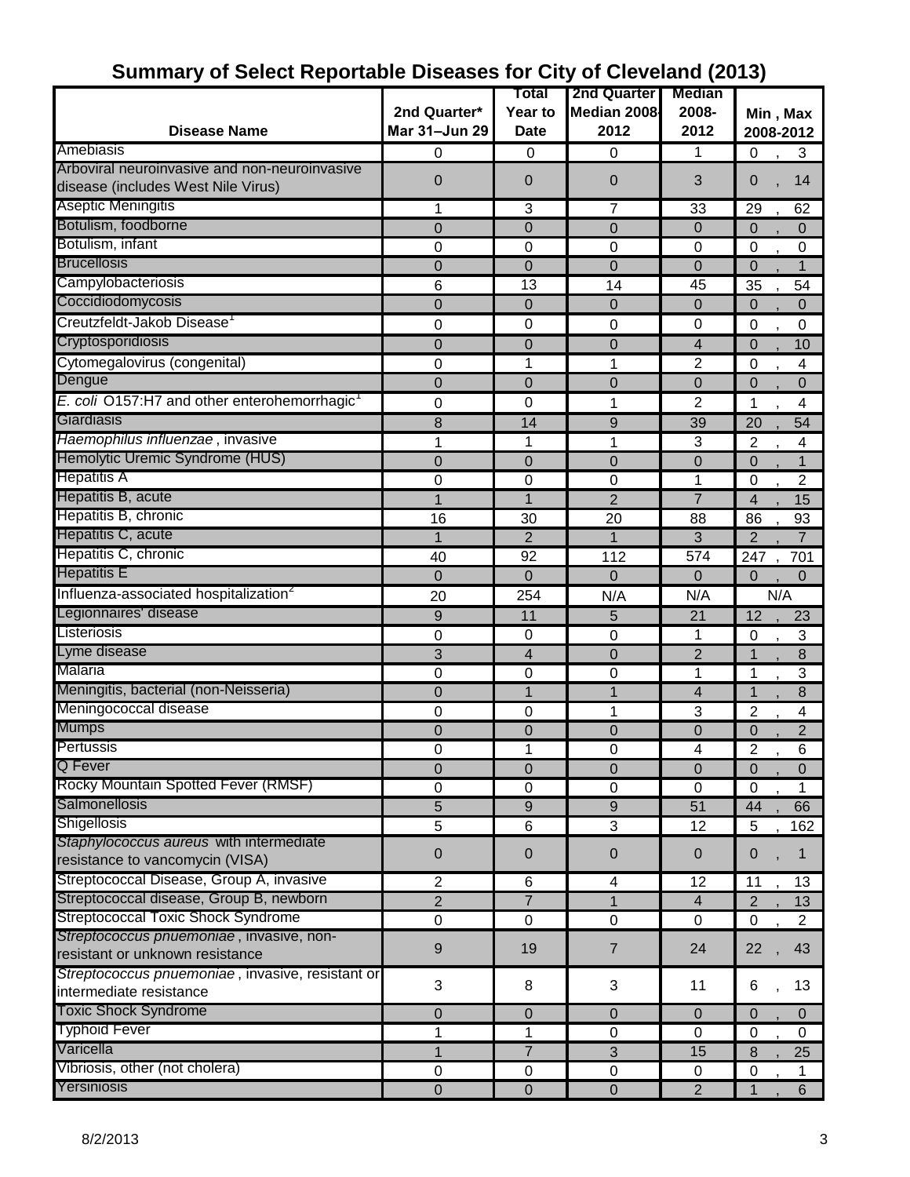|                                                                             |                  | Total                   | 2nd Quarter                   | <b>Median</b>            |                                       |
|-----------------------------------------------------------------------------|------------------|-------------------------|-------------------------------|--------------------------|---------------------------------------|
|                                                                             | 2nd Quarter*     | Year to                 | Median 2008                   | 2008-                    | Min, Max                              |
| <b>Disease Name</b>                                                         | Mar 31-Jun 29    | <b>Date</b>             | 2012                          | 2012                     | 2008-2012                             |
| Amebiasis                                                                   | 0                | 0                       | 0                             | 1                        | 0<br>3                                |
| Arboviral neuroinvasive and non-neuroinvasive                               |                  |                         |                               |                          |                                       |
| disease (includes West Nile Virus)                                          | $\overline{0}$   | 0                       | $\mathbf 0$                   | 3                        | 14<br>0                               |
| Aseptic Meningitis                                                          | 1                | 3                       | 7                             | 33                       | 29<br>62                              |
| Botulism, foodborne                                                         | $\overline{0}$   | 0                       | $\mathbf 0$                   | $\mathbf 0$              | 0<br>$\Omega$                         |
| Botulism, infant                                                            | 0                | 0                       | 0                             | 0                        | $\mathbf 0$<br>$\mathbf 0$            |
| <b>Brucellosis</b>                                                          | $\mathbf 0$      | 0                       | $\overline{0}$                | $\overline{0}$           | $\Omega$<br>$\mathbf{1}$              |
| Campylobacteriosis                                                          | 6                | 13                      | 14                            | 45                       | 35<br>54                              |
| Coccidiodomycosis                                                           | $\mathbf 0$      | 0                       | $\overline{0}$                | $\mathbf 0$              | 0<br>0                                |
| Creutzfeldt-Jakob Disease                                                   | 0                | 0                       | 0                             | 0                        | 0<br>0                                |
| Cryptosporidiosis                                                           | 0                | 0                       | $\overline{0}$                | 4                        | $\Omega$<br>10                        |
| Cytomegalovirus (congenital)                                                | 0                | 1                       | 1                             | $\overline{2}$           | $\mathbf 0$<br>4                      |
| Dengue                                                                      | 0                | 0                       | $\overline{0}$                | $\mathbf 0$              | $\mathbf 0$<br>0                      |
| E. coli O157:H7 and other enterohemorrhagic                                 | 0                | 0                       | 1                             |                          | 4<br>1                                |
| Giardiasis                                                                  |                  |                         |                               | 2                        | 54                                    |
| Haemophilus influenzae, invasive                                            | 8                | 14                      | $9$                           | 39                       | 20                                    |
| Hemolytic Uremic Syndrome (HUS)                                             | 1                | 1                       | 1                             | 3                        | 2<br>4                                |
| <b>Hepatitis A</b>                                                          | 0                | 0                       | $\overline{0}$                | $\Omega$                 | 0<br>1                                |
| Hepatitis B, acute                                                          | 0                | 0<br>1                  | $\mathbf 0$<br>$\overline{2}$ | 1<br>$\overline{7}$      | $\overline{2}$<br>0<br>$\overline{4}$ |
| Hepatitis B, chronic                                                        |                  |                         |                               |                          | 15                                    |
| Hepatitis C, acute                                                          | 16               | 30                      | 20                            | 88                       | 86<br>93                              |
| Hepatitis C, chronic                                                        | 1                | $\overline{2}$          | 1                             | 3                        | $\overline{2}$<br>7                   |
| <b>Hepatitis E</b>                                                          | 40               | 92                      | 112                           | 574                      | 247<br>701                            |
|                                                                             | $\overline{0}$   | 0                       | $\Omega$                      | $\Omega$                 | $\overline{0}$<br>$\Omega$            |
| Influenza-associated hospitalization <sup>2</sup><br>Legionnaires' disease  | 20               | 254                     | N/A                           | N/A                      | N/A                                   |
| Listeriosis                                                                 | 9                | 11                      | 5                             | 21                       | 12<br>23                              |
|                                                                             | 0                | 0                       | $\mathbf 0$                   | 1                        | 3<br>0                                |
| Lyme disease<br>Malaria                                                     | 3                | 4                       | 0                             | $\overline{2}$           | 8<br>1                                |
| Meningitis, bacterial (non-Neisseria)                                       | 0                | 0                       | 0                             | 1                        | 3<br>1                                |
| Meningococcal disease                                                       | $\mathbf 0$      | 1                       | 1                             | $\overline{4}$           | 8<br>1                                |
| <b>Mumps</b>                                                                | 0                | 0                       | 1                             | 3                        | 2<br>4                                |
| Pertussis                                                                   | 0                | 0                       | 0                             | 0                        | $\overline{2}$<br>0                   |
|                                                                             | 0                | $\overline{1}$          | $\boldsymbol{0}$              | $\overline{\mathcal{A}}$ | 2<br>6                                |
| Q Fever<br>Rocky Mountain Spotted Fever (RMSF)                              | 0                | $\mathbf 0$             | $\mathbf 0$                   | $\mathbf 0$              | $\mathbf 0$<br>0                      |
| <b>Salmonellosis</b>                                                        | $\pmb{0}$        | $\boldsymbol{0}$        | 0                             | 0                        | $\mathbf 0$<br>1                      |
| <b>Shigellosis</b>                                                          | 5                | 9                       | $\boldsymbol{9}$              | 51                       | 44<br>66                              |
| Staphylococcus aureus with intermediate                                     | 5                | $\,6$                   | 3                             | 12                       | 5<br>162                              |
| resistance to vancomycin (VISA)                                             | 0                | 0                       | $\mathbf 0$                   | $\mathbf 0$              | 1<br>0                                |
| Streptococcal Disease, Group A, invasive                                    |                  |                         |                               |                          |                                       |
| Streptococcal disease, Group B, newborn                                     | 2                | $\,6$<br>$\overline{7}$ | $\overline{\mathbf{4}}$       | 12                       | $\overline{11}$<br>13                 |
| Streptococcal Toxic Shock Syndrome                                          | $\overline{2}$   |                         | $\mathbf{1}$                  | $\overline{4}$           | $\overline{c}$<br>13                  |
| Streptococcus pnuemoniae, invasive, non-                                    | $\pmb{0}$        | $\mathbf 0$             | $\pmb{0}$                     | 0                        | $\mathbf 0$<br>$\overline{2}$         |
| resistant or unknown resistance                                             | $9\,$            | 19                      | $\overline{7}$                | 24                       | 22<br>43                              |
| Streptococcus pnuemoniae, invasive, resistant or<br>intermediate resistance | 3                | 8                       | 3                             | 11                       | 6<br>13                               |
|                                                                             |                  |                         |                               |                          |                                       |
| <b>Toxic Shock Syndrome</b>                                                 | 0                | 0                       | $\overline{0}$                | $\mathbf 0$              | $\overline{0}$<br>$\mathbf{0}$        |
| <b>Typhoid Fever</b>                                                        | 1                | 1                       | $\mathbf 0$                   | $\Omega$                 | $\mathbf 0$<br>$\Omega$               |
| Varicella                                                                   | 1                | $\overline{7}$          | 3                             | 15                       | 8<br>25                               |
| Vibriosis, other (not cholera)                                              | $\mathbf 0$      | 0                       | $\pmb{0}$                     | 0                        | $\mathbf 0$<br>1                      |
| Yersiniosis                                                                 | $\boldsymbol{0}$ | $\mathbf 0$             | $\boldsymbol{0}$              | $\overline{2}$           | $6\phantom{1}6$<br>1                  |

# **Summary of Select Reportable Diseases for City of Cleveland (2013)**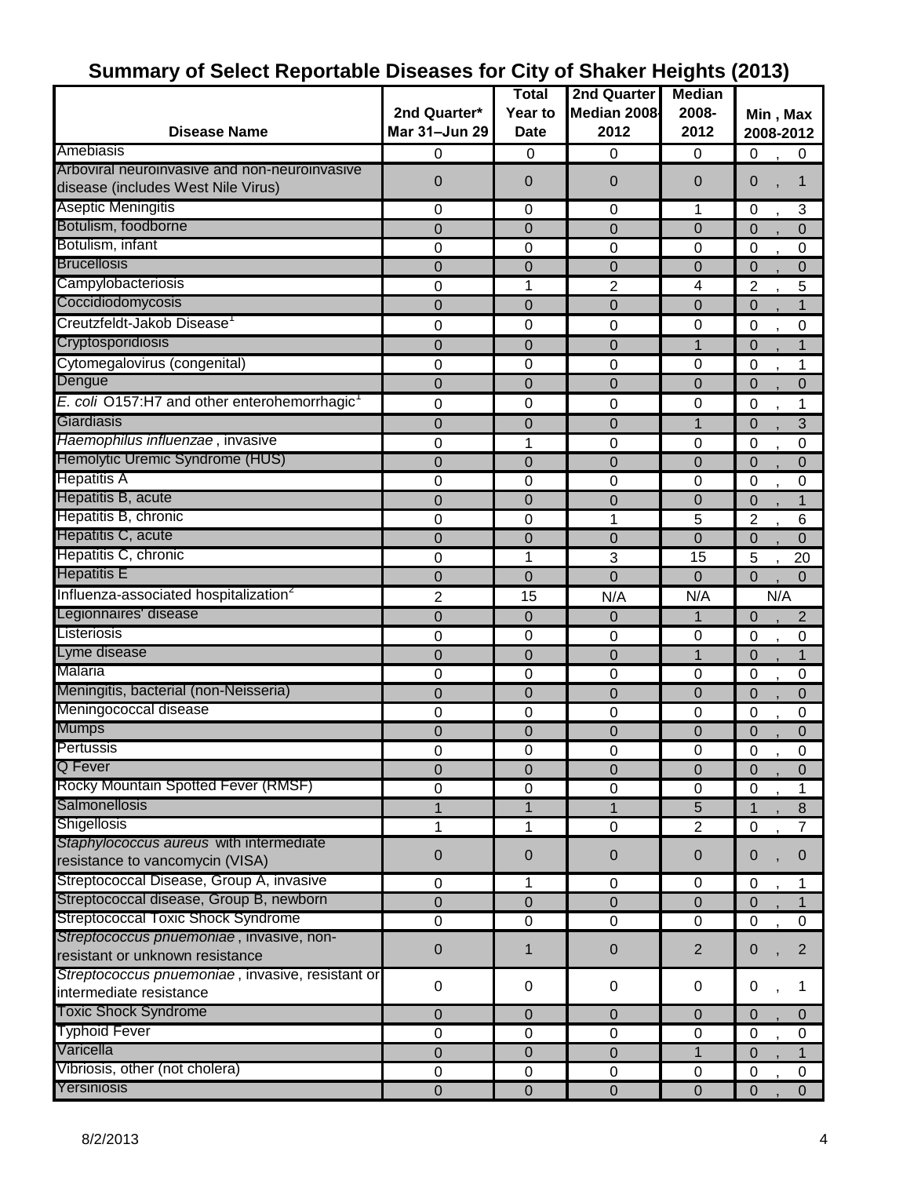|                                                                                     |                               | <b>Total</b>           | 2nd Quarter    | <b>Median</b>  |                                  |
|-------------------------------------------------------------------------------------|-------------------------------|------------------------|----------------|----------------|----------------------------------|
|                                                                                     |                               |                        |                |                |                                  |
|                                                                                     | 2nd Quarter*<br>Mar 31-Jun 29 | Year to                | Median 2008    | 2008-          | Min, Max                         |
| <b>Disease Name</b>                                                                 |                               | <b>Date</b>            | 2012           | 2012           | 2008-2012                        |
| Amebiasis                                                                           | 0                             | 0                      | 0              | $\mathbf 0$    | 0<br>0                           |
| Arboviral neuroinvasive and non-neuroinvasive<br>disease (includes West Nile Virus) | 0                             | $\overline{0}$         | 0              | 0              | 0<br>1                           |
| Aseptic Meningitis                                                                  | 0                             | 0                      | 0              | 1              | $\mathbf 0$<br>3                 |
| Botulism, foodborne                                                                 | 0                             | 0                      | 0              | 0              | $\overline{0}$<br>0              |
| Botulism, infant                                                                    | $\mathbf 0$                   | 0                      | 0              | 0              | 0<br>0                           |
| <b>Brucellosis</b>                                                                  | 0                             | 0                      | 0              | 0              | $\mathbf 0$<br>0                 |
| Campylobacteriosis                                                                  | 0                             | 1                      | 2              | 4              | 5<br>2                           |
| Coccidiodomycosis                                                                   | 0                             | 0                      | 0              | 0              | $\mathbf 0$<br>$\mathbf 1$       |
| Creutzfeldt-Jakob Disease                                                           | 0                             | 0                      | 0              | 0              | 0<br>0                           |
| Cryptosporidiosis                                                                   | 0                             | 0                      | 0              | 1              | $\mathbf 0$<br>1                 |
| Cytomegalovirus (congenital)                                                        | $\mathbf 0$                   | 0                      | $\pmb{0}$      | $\mathbf 0$    | $\boldsymbol{0}$<br>1            |
| Dengue                                                                              | 0                             | 0                      | 0              | 0              | 0<br>0                           |
| E. coli O157:H7 and other enterohemorrhagic <sup>1</sup>                            | 0                             | 0                      | 0              | 0              | 0<br>1                           |
| Giardiasis                                                                          | 0                             | 0                      | $\mathbf 0$    | 1              | 3<br>$\mathbf 0$                 |
| Haemophilus influenzae, invasive                                                    | $\mathbf 0$                   | 1                      | 0              | 0              | $\mathbf 0$<br>0                 |
| Hemolytic Uremic Syndrome (HUS)                                                     | 0                             | $\overline{0}$         | 0              | $\overline{0}$ | $\overline{0}$<br>0              |
| <b>Hepatitis A</b>                                                                  | $\mathbf 0$                   | 0                      | 0              | 0              | 0<br>0                           |
| Hepatitis B, acute                                                                  | 0                             | 0                      | 0              | 0              | 1<br>0                           |
| Hepatitis B, chronic                                                                | 0                             | 0                      | 1              | 5              | 2<br>6                           |
| Hepatitis C, acute                                                                  | 0                             | 0                      | 0              | 0              | $\overline{0}$<br>$\mathbf 0$    |
| Hepatitis C, chronic                                                                | 0                             | 1                      | 3              | 15             | 5<br>20                          |
| <b>Hepatitis E</b>                                                                  | 0                             | 0                      | $\overline{0}$ | 0              | $\overline{0}$<br>$\overline{0}$ |
| Influenza-associated hospitalization <sup>2</sup>                                   | 2                             | 15                     | N/A            | N/A            | N/A                              |
| Legionnaires' disease                                                               | 0                             | 0                      | 0              | $\mathbf{1}$   | $\overline{2}$<br>0              |
| Listeriosis                                                                         | 0                             | 0                      | 0              | 0              | $\pmb{0}$<br>0                   |
| Lyme disease                                                                        | 0                             | 0                      | 0              | 1              | $\overline{0}$<br>$\mathbf 1$    |
| Malaria                                                                             | $\mathbf 0$                   | 0                      | 0              | 0              | $\mathbf 0$<br>0                 |
| Meningitis, bacterial (non-Neisseria)                                               | $\overline{0}$                | $\mathbf 0$            | $\mathbf 0$    | $\mathbf 0$    | $\mathbf 0$<br>0                 |
| Meningococcal disease                                                               | 0                             | 0                      | 0              | 0              | 0<br>0                           |
| <b>Mumps</b>                                                                        | 0                             | 0                      | $\mathbf 0$    | 0              | $\mathbf 0$<br>$\mathbf 0$       |
| Pertussis                                                                           | 0                             | 0                      | 0              | 0              | 0<br>0                           |
| Q Fever                                                                             | 0                             | $\overline{0}$         | $\overline{0}$ | $\overline{0}$ | $\Omega$<br>$\Omega$             |
| Rocky Mountain Spotted Fever (RMSF)                                                 | $\mathbf 0$                   | 0                      | $\pmb{0}$      | $\mathbf 0$    | $\pmb{0}$<br>1                   |
| Salmonellosis                                                                       | 1                             | $\overline{1}$         | $\mathbf{1}$   | 5              | 8                                |
| Shigellosis                                                                         | 1                             | 1                      | $\mathbf 0$    | $\overline{2}$ | $\pmb{0}$                        |
| Staphylococcus aureus with intermediate                                             |                               |                        |                |                |                                  |
| resistance to vancomycin (VISA)                                                     | 0                             | 0                      | 0              | $\mathbf 0$    | $\mathbf 0$<br>0                 |
| Streptococcal Disease, Group A, invasive                                            | $\pmb{0}$                     | 1                      | $\mathbf 0$    | 0              | $\mathbf 0$<br>1                 |
| Streptococcal disease, Group B, newborn                                             | 0                             | 0                      | 0              | $\overline{0}$ | $\mathbf 0$<br>1                 |
| <b>Streptococcal Toxic Shock Syndrome</b>                                           | 0                             | 0                      | 0              | $\mathbf 0$    | 0<br>$\mathbf 0$                 |
| Streptococcus pnuemoniae, invasive, non-                                            |                               |                        |                |                |                                  |
| resistant or unknown resistance                                                     | 0                             | 1                      | 0              | 2              | $\overline{2}$<br>0              |
| Streptococcus pnuemoniae, invasive, resistant or<br>intermediate resistance         | $\pmb{0}$                     | 0                      | 0              | $\mathbf 0$    | 0<br>1                           |
| <b>Toxic Shock Syndrome</b>                                                         |                               |                        |                |                |                                  |
| <b>Typhoid Fever</b>                                                                | 0                             | $\pmb{0}$              | $\pmb{0}$      | $\mathbf 0$    | $\mathbf 0$<br>0                 |
| Varicella                                                                           | $\pmb{0}$                     | 0                      | $\mathbf 0$    | $\mathbf 0$    | 0<br>0                           |
| Vibriosis, other (not cholera)                                                      | 0                             | 0                      | $\pmb{0}$      | 1              | 0<br>1                           |
| Yersiniosis                                                                         | $\mathbf 0$                   | $\pmb{0}$<br>$\pmb{0}$ | $\mathbf 0$    | 0              | $\pmb{0}$<br>$\mathbf 0$         |
|                                                                                     | $\mathbf 0$                   |                        | $\overline{0}$ | $\overline{0}$ | $\mathbf 0$<br>$\overline{0}$    |

# **Summary of Select Reportable Diseases for City of Shaker Heights (2013)**